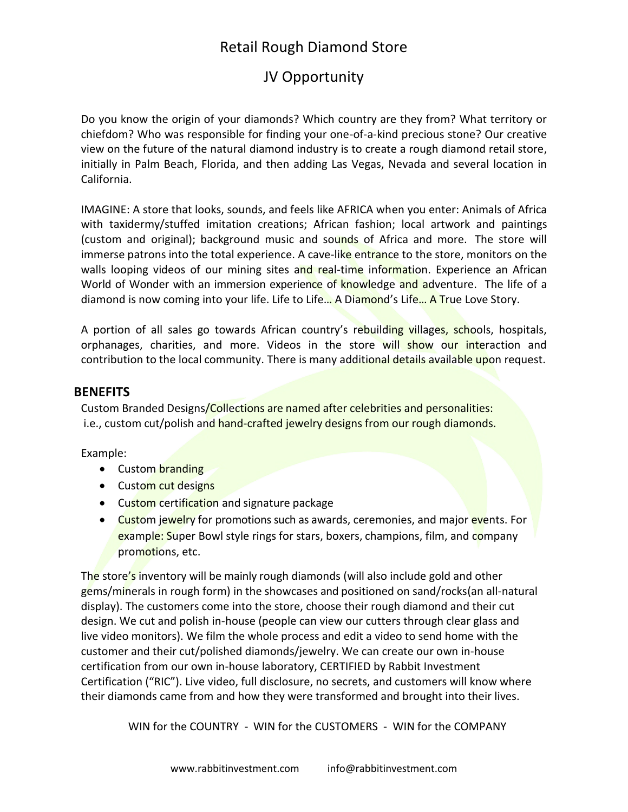# Retail Rough Diamond Store

# JV Opportunity

Do you know the origin of your diamonds? Which country are they from? What territory or chiefdom? Who was responsible for finding your one-of-a-kind precious stone? Our creative view on the future of the natural diamond industry is to create a rough diamond retail store, initially in Palm Beach, Florida, and then adding Las Vegas, Nevada and several location in California.

IMAGINE: A store that looks, sounds, and feels like AFRICA when you enter: Animals of Africa with taxidermy/stuffed imitation creations; African fashion; local artwork and paintings (custom and original); background music and sounds of Africa and more. The store will immerse patrons into the total experience. A cave-like entrance to the store, monitors on the walls looping videos of our mining sites and real-time information. Experience an African World of Wonder with an immersion experience of knowledge and adventure. The life of a diamond is now coming into your life. Life to Life… A Diamond's Life… A True Love Story.

A portion of all sales go towards African country's rebuilding villages, schools, hospitals, orphanages, charities, and more. Videos in the store will show our interaction and contribution to the local community. There is many additional details available upon request.

#### **BENEFITS**

Custom Branded Designs/Collections are named after celebrities and personalities: i.e., custom cut/polish and hand-crafted jewelry designs from our rough diamonds.

Example:

- Custom branding
- Custom cut designs
- Custom certification and signature package
- Custom jewelry for promotions such as awards, ceremonies, and major events. For example: Super Bowl style rings for stars, boxers, champions, film, and company promotions, etc.

The store's inventory will be mainly rough diamonds (will also include gold and other gems/minerals in rough form) in the showcases and positioned on sand/rocks(an all-natural display). The customers come into the store, choose their rough diamond and their cut design. We cut and polish in-house (people can view our cutters through clear glass and live video monitors). We film the whole process and edit a video to send home with the customer and their cut/polished diamonds/jewelry. We can create our own in-house certification from our own in-house laboratory, CERTIFIED by Rabbit Investment Certification ("RIC"). Live video, full disclosure, no secrets, and customers will know where their diamonds came from and how they were transformed and brought into their lives.

WIN for the COUNTRY - WIN for the CUSTOMERS - WIN for the COMPANY